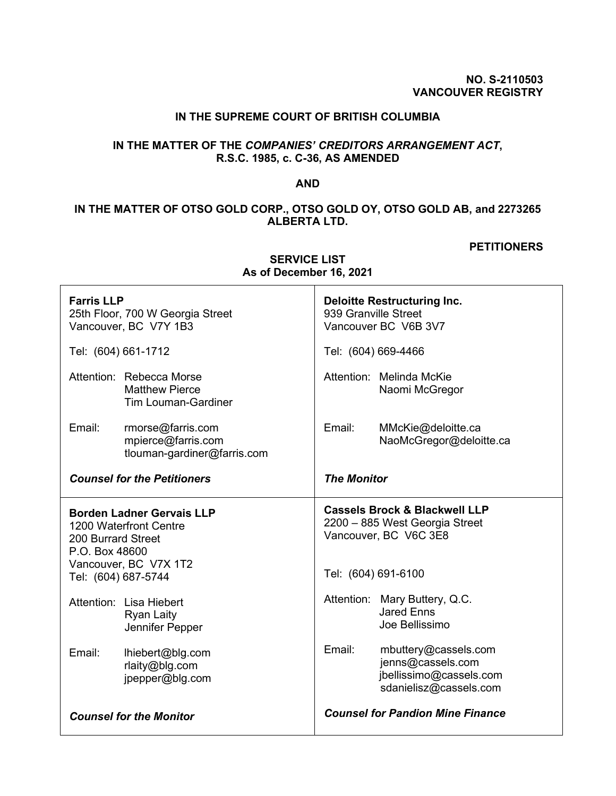### **NO. S-2110503 VANCOUVER REGISTRY**

## **IN THE SUPREME COURT OF BRITISH COLUMBIA**

# **IN THE MATTER OF THE** *COMPANIES' CREDITORS ARRANGEMENT ACT***, R.S.C. 1985, c. C-36, AS AMENDED**

### **AND**

# **IN THE MATTER OF OTSO GOLD CORP., OTSO GOLD OY, OTSO GOLD AB, and 2273265 ALBERTA LTD.**

#### **PETITIONERS**

| <b>Farris LLP</b><br>25th Floor, 700 W Georgia Street<br>Vancouver, BC V7Y 1B3                                                                     | <b>Deloitte Restructuring Inc.</b><br>939 Granville Street<br>Vancouver BC V6B 3V7                                         |
|----------------------------------------------------------------------------------------------------------------------------------------------------|----------------------------------------------------------------------------------------------------------------------------|
| Tel: (604) 661-1712                                                                                                                                | Tel: (604) 669-4466                                                                                                        |
| Attention: Rebecca Morse<br><b>Matthew Pierce</b><br><b>Tim Louman-Gardiner</b>                                                                    | Attention: Melinda McKie<br>Naomi McGregor                                                                                 |
| Email:<br>rmorse@farris.com<br>mpierce@farris.com<br>tlouman-gardiner@farris.com                                                                   | Email:<br>MMcKie@deloitte.ca<br>NaoMcGregor@deloitte.ca                                                                    |
| <b>Counsel for the Petitioners</b>                                                                                                                 | <b>The Monitor</b>                                                                                                         |
| <b>Borden Ladner Gervais LLP</b><br>1200 Waterfront Centre<br>200 Burrard Street<br>P.O. Box 48600<br>Vancouver, BC V7X 1T2<br>Tel: (604) 687-5744 | <b>Cassels Brock &amp; Blackwell LLP</b><br>2200 - 885 West Georgia Street<br>Vancouver, BC V6C 3E8<br>Tel: (604) 691-6100 |
| Attention: Lisa Hiebert<br><b>Ryan Laity</b><br>Jennifer Pepper                                                                                    | Attention: Mary Buttery, Q.C.<br><b>Jared Enns</b><br>Joe Bellissimo                                                       |
| Email:<br>lhiebert@blg.com<br>rlaity@blg.com<br>jpepper@blg.com                                                                                    | Email:<br>mbuttery@cassels.com<br>jenns@cassels.com<br>jbellissimo@cassels.com<br>sdanielisz@cassels.com                   |
| <b>Counsel for the Monitor</b>                                                                                                                     | <b>Counsel for Pandion Mine Finance</b>                                                                                    |

**SERVICE LIST As of December 16, 2021**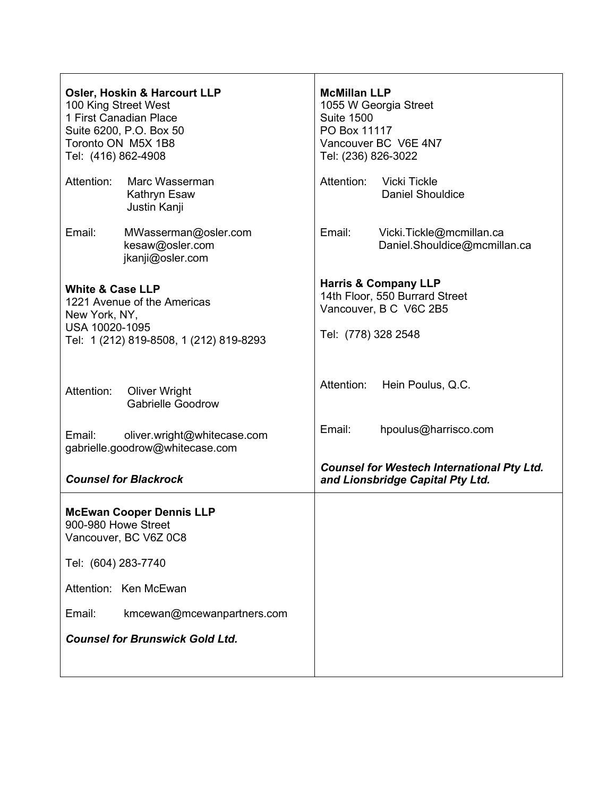| <b>Osler, Hoskin &amp; Harcourt LLP</b><br>100 King Street West<br>1 First Canadian Place<br>Suite 6200, P.O. Box 50<br>Toronto ON M5X 1B8<br>Tel: (416) 862-4908 | <b>McMillan LLP</b><br>1055 W Georgia Street<br><b>Suite 1500</b><br>PO Box 11117<br>Vancouver BC V6E 4N7<br>Tel: (236) 826-3022 |
|-------------------------------------------------------------------------------------------------------------------------------------------------------------------|----------------------------------------------------------------------------------------------------------------------------------|
| Attention:<br>Marc Wasserman<br>Kathryn Esaw<br>Justin Kanji                                                                                                      | Attention:<br><b>Vicki Tickle</b><br><b>Daniel Shouldice</b>                                                                     |
| Email:<br>MWasserman@osler.com<br>kesaw@osler.com<br>jkanji@osler.com                                                                                             | Email:<br>Vicki.Tickle@mcmillan.ca<br>Daniel.Shouldice@mcmillan.ca                                                               |
| <b>White &amp; Case LLP</b><br>1221 Avenue of the Americas<br>New York, NY,<br>USA 10020-1095<br>Tel: 1 (212) 819-8508, 1 (212) 819-8293                          | <b>Harris &amp; Company LLP</b><br>14th Floor, 550 Burrard Street<br>Vancouver, B C V6C 2B5<br>Tel: (778) 328 2548               |
| Attention:<br><b>Oliver Wright</b><br><b>Gabrielle Goodrow</b>                                                                                                    | Attention:<br>Hein Poulus, Q.C.                                                                                                  |
| Email:<br>oliver.wright@whitecase.com<br>gabrielle.goodrow@whitecase.com                                                                                          | Email:<br>hpoulus@harrisco.com                                                                                                   |
| <b>Counsel for Blackrock</b>                                                                                                                                      | <b>Counsel for Westech International Pty Ltd.</b><br>and Lionsbridge Capital Pty Ltd.                                            |
| <b>McEwan Cooper Dennis LLP</b><br>900-980 Howe Street<br>Vancouver, BC V6Z 0C8                                                                                   |                                                                                                                                  |
| Tel: (604) 283-7740                                                                                                                                               |                                                                                                                                  |
| Attention: Ken McEwan                                                                                                                                             |                                                                                                                                  |
| Email:<br>kmcewan@mcewanpartners.com                                                                                                                              |                                                                                                                                  |
| <b>Counsel for Brunswick Gold Ltd.</b>                                                                                                                            |                                                                                                                                  |